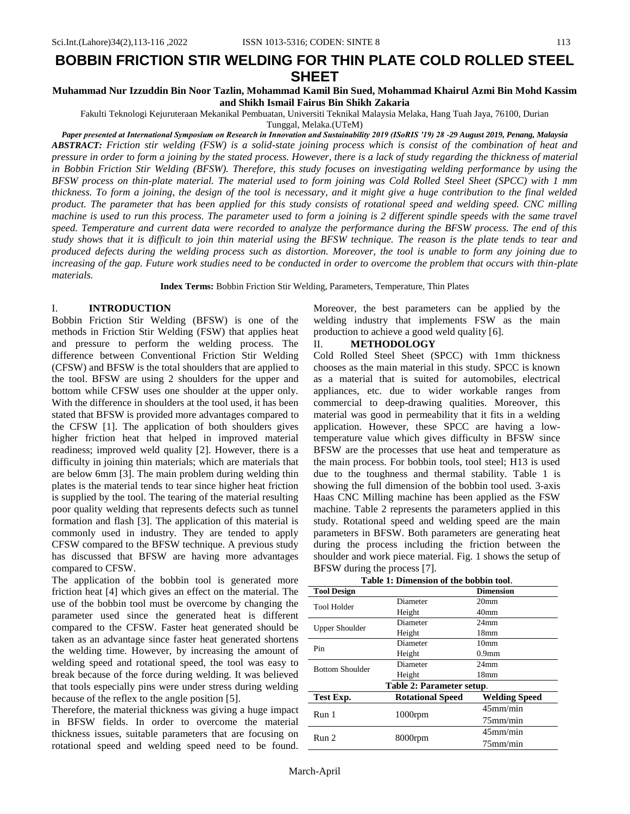# **BOBBIN FRICTION STIR WELDING FOR THIN PLATE COLD ROLLED STEEL SHEET**

**Muhammad Nur Izzuddin Bin Noor Tazlin, Mohammad Kamil Bin Sued, Mohammad Khairul Azmi Bin Mohd Kassim and Shikh Ismail Fairus Bin Shikh Zakaria**

Fakulti Teknologi Kejuruteraan Mekanikal Pembuatan, Universiti Teknikal Malaysia Melaka, Hang Tuah Jaya, 76100, Durian

Tunggal, Melaka.(UTeM)

*Paper presented at International Symposium on Research in Innovation and Sustainability 2019 (ISoRIS '19) 28 -29 August 2019, Penang, Malaysia ABSTRACT: Friction stir welding (FSW) is a solid-state joining process which is consist of the combination of heat and pressure in order to form a joining by the stated process. However, there is a lack of study regarding the thickness of material in Bobbin Friction Stir Welding (BFSW). Therefore, this study focuses on investigating welding performance by using the BFSW process on thin-plate material. The material used to form joining was Cold Rolled Steel Sheet (SPCC) with 1 mm thickness. To form a joining, the design of the tool is necessary, and it might give a huge contribution to the final welded product. The parameter that has been applied for this study consists of rotational speed and welding speed. CNC milling machine is used to run this process. The parameter used to form a joining is 2 different spindle speeds with the same travel speed. Temperature and current data were recorded to analyze the performance during the BFSW process. The end of this study shows that it is difficult to join thin material using the BFSW technique. The reason is the plate tends to tear and produced defects during the welding process such as distortion. Moreover, the tool is unable to form any joining due to increasing of the gap. Future work studies need to be conducted in order to overcome the problem that occurs with thin-plate materials.*

**Index Terms:** Bobbin Friction Stir Welding, Parameters, Temperature, Thin Plates

#### I. **INTRODUCTION**

Bobbin Friction Stir Welding (BFSW) is one of the methods in Friction Stir Welding (FSW) that applies heat and pressure to perform the welding process. The difference between Conventional Friction Stir Welding (CFSW) and BFSW is the total shoulders that are applied to the tool. BFSW are using 2 shoulders for the upper and bottom while CFSW uses one shoulder at the upper only. With the difference in shoulders at the tool used, it has been stated that BFSW is provided more advantages compared to the CFSW [\[1\]](#page-2-0). The application of both shoulders gives higher friction heat that helped in improved material readiness; improved weld quality [\[2\]](#page-2-0). However, there is a difficulty in joining thin materials; which are materials that are below 6mm [\[3\]](#page-3-0). The main problem during welding thin plates is the material tends to tear since higher heat friction is supplied by the tool. The tearing of the material resulting poor quality welding that represents defects such as tunnel formation and flash [\[3\]](#page-3-0). The application of this material is commonly used in industry. They are tended to apply CFSW compared to the BFSW technique. A previous study has discussed that BFSW are having more advantages compared to CFSW.

The application of the bobbin tool is generated more friction heat [\[4\]](#page-3-1) which gives an effect on the material. The use of the bobbin tool must be overcome by changing the parameter used since the generated heat is different compared to the CFSW. Faster heat generated should be taken as an advantage since faster heat generated shortens the welding time. However, by increasing the amount of welding speed and rotational speed, the tool was easy to break because of the force during welding. It was believed that tools especially pins were under stress during welding because of the reflex to the angle position [\[5\]](#page-3-2).

Therefore, the material thickness was giving a huge impact in BFSW fields. In order to overcome the material thickness issues, suitable parameters that are focusing on rotational speed and welding speed need to be found. Moreover, the best parameters can be applied by the welding industry that implements FSW as the main production to achieve a good weld quality [\[6\]](#page-3-3).

## II. **METHODOLOGY**

Cold Rolled Steel Sheet (SPCC) with 1mm thickness chooses as the main material in this study. SPCC is known as a material that is suited for automobiles, electrical appliances, etc. due to wider workable ranges from commercial to deep-drawing qualities. Moreover, this material was good in permeability that it fits in a welding application. However, these SPCC are having a lowtemperature value which gives difficulty in BFSW since BFSW are the processes that use heat and temperature as the main process. For bobbin tools, tool steel; H13 is used due to the toughness and thermal stability. Table 1 is showing the full dimension of the bobbin tool used. 3-axis Haas CNC Milling machine has been applied as the FSW machine. Table 2 represents the parameters applied in this study. Rotational speed and welding speed are the main parameters in BFSW. Both parameters are generating heat during the process including the friction between the shoulder and work piece material. Fig. 1 shows the setup of BFSW during the process [\[7\]](#page-3-4).

| Table 1: Dimension of the bobbin tool. |  |
|----------------------------------------|--|
|----------------------------------------|--|

| <b>Tool Design</b>        |                         | <b>Dimension</b>     |  |  |  |
|---------------------------|-------------------------|----------------------|--|--|--|
| <b>Tool Holder</b>        | Diameter                | 20mm                 |  |  |  |
|                           | Height                  | 40 <sub>mm</sub>     |  |  |  |
| Upper Shoulder            | Diameter                | 24 <sub>mm</sub>     |  |  |  |
|                           | Height                  | 18 <sub>mm</sub>     |  |  |  |
| Pin                       | Diameter                | 10 <sub>mm</sub>     |  |  |  |
|                           | Height                  | 0.9 <sub>mm</sub>    |  |  |  |
| <b>Bottom Shoulder</b>    | Diameter                | 24 <sub>mm</sub>     |  |  |  |
|                           | Height                  | 18mm                 |  |  |  |
| Table 2: Parameter setup. |                         |                      |  |  |  |
| Test Exp.                 | <b>Rotational Speed</b> | <b>Welding Speed</b> |  |  |  |
| Run <sub>1</sub>          | $1000$ rpm              | $45$ mm/min          |  |  |  |
|                           |                         | $75$ mm/min          |  |  |  |
| Run 2                     | 8000rpm                 | $45$ mm/min          |  |  |  |
|                           |                         | $75$ mm/min          |  |  |  |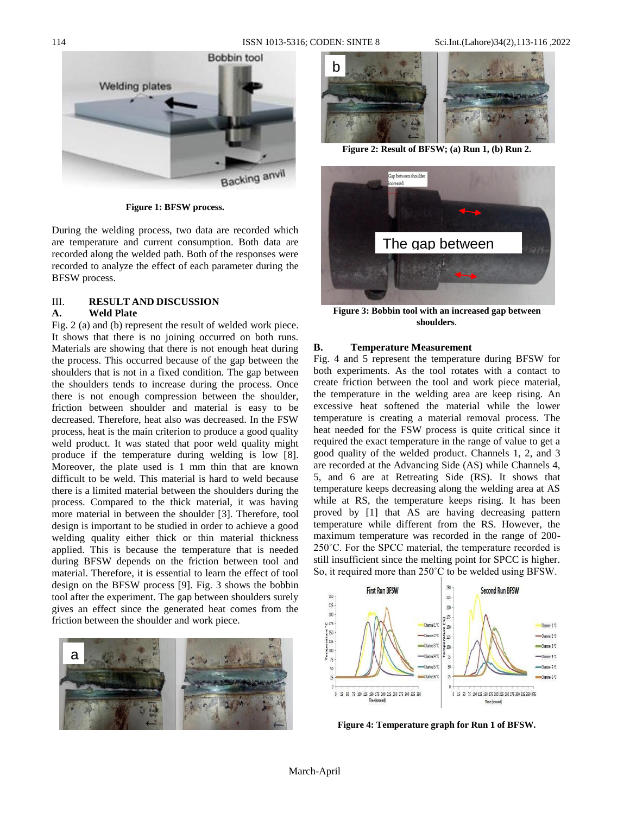

**Figure 1: BFSW process.**

During the welding process, two data are recorded which are temperature and current consumption. Both data are recorded along the welded path. Both of the responses were recorded to analyze the effect of each parameter during the BFSW process.

## III. **RESULT AND DISCUSSION**

## **A. Weld Plate**

Fig. 2 (a) and (b) represent the result of welded work piece. It shows that there is no joining occurred on both runs. Materials are showing that there is not enough heat during the process. This occurred because of the gap between the shoulders that is not in a fixed condition. The gap between the shoulders tends to increase during the process. Once there is not enough compression between the shoulder, friction between shoulder and material is easy to be decreased. Therefore, heat also was decreased. In the FSW process, heat is the main criterion to produce a good quality weld product. It was stated that poor weld quality might produce if the temperature during welding is low [\[8\]](#page-3-5). Moreover, the plate used is 1 mm thin that are known difficult to be weld. This material is hard to weld because there is a limited material between the shoulders during the process. Compared to the thick material, it was having more material in between the shoulder [\[3\]](#page-3-0). Therefore, tool design is important to be studied in order to achieve a good welding quality either thick or thin material thickness applied. This is because the temperature that is needed during BFSW depends on the friction between tool and material. Therefore, it is essential to learn the effect of tool design on the BFSW process [\[9\]](#page-3-6). Fig. 3 shows the bobbin tool after the experiment. The gap between shoulders surely gives an effect since the generated heat comes from the friction between the shoulder and work piece.





**Figure 2: Result of BFSW; (a) Run 1, (b) Run 2.**



**Figure 3: Bobbin tool with an increased gap between shoulders**.

#### **B. Temperature Measurement**

Fig. 4 and 5 represent the temperature during BFSW for both experiments. As the tool rotates with a contact to create friction between the tool and work piece material, the temperature in the welding area are keep rising. An excessive heat softened the material while the lower temperature is creating a material removal process. The heat needed for the FSW process is quite critical since it required the exact temperature in the range of value to get a good quality of the welded product. Channels 1, 2, and 3 are recorded at the Advancing Side (AS) while Channels 4, 5, and 6 are at Retreating Side (RS). It shows that temperature keeps decreasing along the welding area at AS while at RS, the temperature keeps rising. It has been proved by [\[1\]](#page-2-0) that AS are having decreasing pattern temperature while different from the RS. However, the maximum temperature was recorded in the range of 200- 250˚C. For the SPCC material, the temperature recorded is still insufficient since the melting point for SPCC is higher. So, it required more than 250˚C to be welded using BFSW.



**Figure 4: Temperature graph for Run 1 of BFSW.**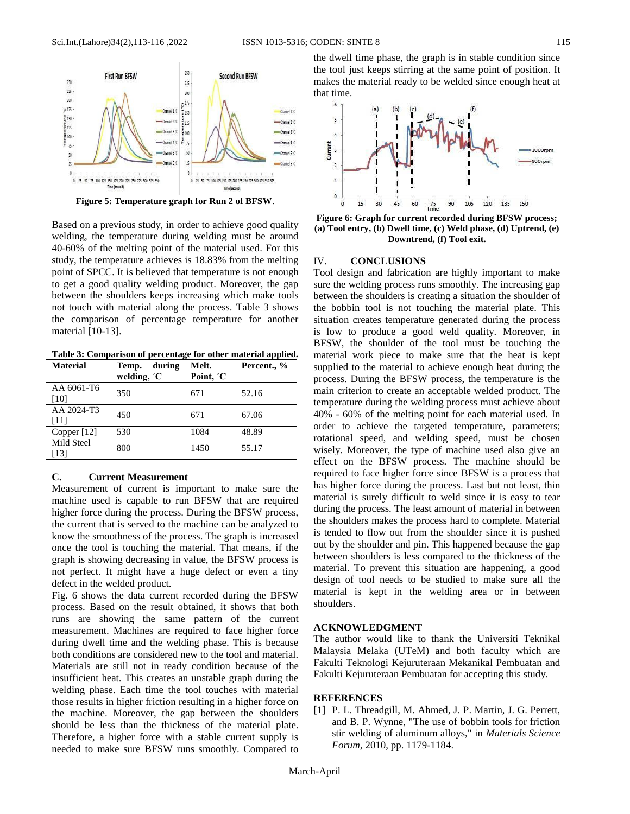

**Figure 5: Temperature graph for Run 2 of BFSW**.

Based on a previous study, in order to achieve good quality welding, the temperature during welding must be around 40-60% of the melting point of the material used. For this study, the temperature achieves is 18.83% from the melting point of SPCC. It is believed that temperature is not enough to get a good quality welding product. Moreover, the gap between the shoulders keeps increasing which make tools not touch with material along the process. Table 3 shows the comparison of percentage temperature for another material [\[10-13\]](#page-3-7).

**Table 3: Comparison of percentage for other material applied.**

| <b>Material</b>    | during<br>Temp.<br>welding, $^{\circ}$ C | Melt.<br>Point, °C | Percent., % |
|--------------------|------------------------------------------|--------------------|-------------|
| AA 6061-T6<br>[10] | 350                                      | 671                | 52.16       |
| AA 2024-T3<br>[11] | 450                                      | 671                | 67.06       |
| Copper [12]        | 530                                      | 1084               | 48.89       |
| Mild Steel<br>[13] | 800                                      | 1450               | 55.17       |

#### **C. Current Measurement**

Measurement of current is important to make sure the machine used is capable to run BFSW that are required higher force during the process. During the BFSW process, the current that is served to the machine can be analyzed to know the smoothness of the process. The graph is increased once the tool is touching the material. That means, if the graph is showing decreasing in value, the BFSW process is not perfect. It might have a huge defect or even a tiny defect in the welded product.

Fig. 6 shows the data current recorded during the BFSW process. Based on the result obtained, it shows that both runs are showing the same pattern of the current measurement. Machines are required to face higher force during dwell time and the welding phase. This is because both conditions are considered new to the tool and material. Materials are still not in ready condition because of the insufficient heat. This creates an unstable graph during the welding phase. Each time the tool touches with material those results in higher friction resulting in a higher force on the machine. Moreover, the gap between the shoulders should be less than the thickness of the material plate. Therefore, a higher force with a stable current supply is needed to make sure BFSW runs smoothly. Compared to the dwell time phase, the graph is in stable condition since the tool just keeps stirring at the same point of position. It makes the material ready to be welded since enough heat at that time.



**Figure 6: Graph for current recorded during BFSW process; (a) Tool entry, (b) Dwell time, (c) Weld phase, (d) Uptrend, (e) Downtrend, (f) Tool exit.**

#### IV. **CONCLUSIONS**

Tool design and fabrication are highly important to make sure the welding process runs smoothly. The increasing gap between the shoulders is creating a situation the shoulder of the bobbin tool is not touching the material plate. This situation creates temperature generated during the process is low to produce a good weld quality. Moreover, in BFSW, the shoulder of the tool must be touching the material work piece to make sure that the heat is kept supplied to the material to achieve enough heat during the process. During the BFSW process, the temperature is the main criterion to create an acceptable welded product. The temperature during the welding process must achieve about 40% - 60% of the melting point for each material used. In order to achieve the targeted temperature, parameters; rotational speed, and welding speed, must be chosen wisely. Moreover, the type of machine used also give an effect on the BFSW process. The machine should be required to face higher force since BFSW is a process that has higher force during the process. Last but not least, thin material is surely difficult to weld since it is easy to tear during the process. The least amount of material in between the shoulders makes the process hard to complete. Material is tended to flow out from the shoulder since it is pushed out by the shoulder and pin. This happened because the gap between shoulders is less compared to the thickness of the material. To prevent this situation are happening, a good design of tool needs to be studied to make sure all the material is kept in the welding area or in between shoulders.

## **ACKNOWLEDGMENT**

The author would like to thank the Universiti Teknikal Malaysia Melaka (UTeM) and both faculty which are Fakulti Teknologi Kejuruteraan Mekanikal Pembuatan and Fakulti Kejuruteraan Pembuatan for accepting this study.

#### **REFERENCES**

<span id="page-2-0"></span>[1] P. L. Threadgill, M. Ahmed, J. P. Martin, J. G. Perrett, and B. P. Wynne, "The use of bobbin tools for friction stir welding of aluminum alloys," in *Materials Science Forum*, 2010, pp. 1179-1184.